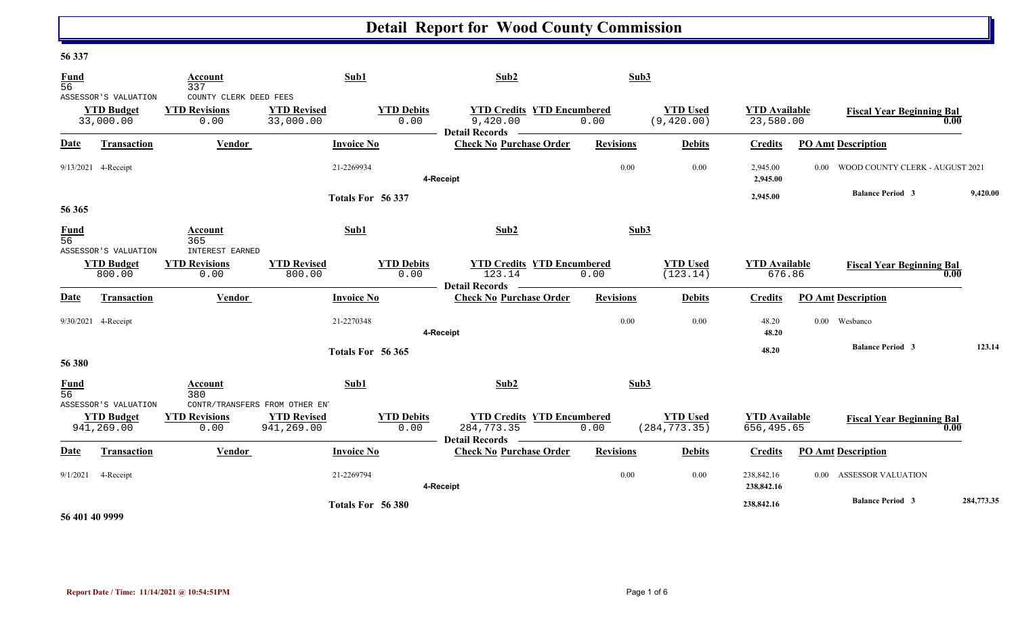#### **56 337**

| <b>Fund</b><br>$\overline{56}$ |                                                        | Account<br>337                                         | Sub1                             |                           | Sub2                                                                     | Sub3             |                                  |                                    |                                                   |            |
|--------------------------------|--------------------------------------------------------|--------------------------------------------------------|----------------------------------|---------------------------|--------------------------------------------------------------------------|------------------|----------------------------------|------------------------------------|---------------------------------------------------|------------|
|                                | ASSESSOR'S VALUATION<br><b>YTD Budget</b><br>33,000.00 | COUNTY CLERK DEED FEES<br><b>YTD Revisions</b><br>0.00 | <b>YTD Revised</b><br>33,000.00  | <b>YTD Debits</b><br>0.00 | <b>YTD Credits YTD Encumbered</b><br>9,420.00<br><b>Detail Records</b>   | 0.00             | <b>YTD Used</b><br>(9, 420.00)   | <b>YTD Available</b><br>23,580.00  | <b>Fiscal Year Beginning Bal</b>                  | 0.00       |
| <b>Date</b>                    | Transaction                                            | Vendor                                                 | <b>Invoice No</b>                |                           | <b>Check No Purchase Order</b>                                           | <b>Revisions</b> | <b>Debits</b>                    | <b>Credits</b>                     | <b>PO Amt Description</b>                         |            |
|                                | 9/13/2021 4-Receipt                                    |                                                        | 21-2269934                       |                           | 4-Receipt                                                                | 0.00             | 0.00                             | 2,945.00<br>2,945.00               | WOOD COUNTY CLERK - AUGUST 2021<br>$0.00^{\circ}$ |            |
| 56 365                         |                                                        |                                                        |                                  | Totals For 56 337         |                                                                          |                  |                                  | 2,945.00                           | <b>Balance Period 3</b>                           | 9,420.00   |
| <b>Fund</b><br>$\overline{56}$ | ASSESSOR'S VALUATION                                   | Account<br>365<br><b>INTEREST EARNED</b>               | Sub1                             |                           | Sub2                                                                     | Sub3             |                                  |                                    |                                                   |            |
|                                | <b>YTD Budget</b><br>800.00                            | <b>YTD Revisions</b><br>0.00                           | <b>YTD Revised</b><br>800.00     | <b>YTD Debits</b><br>0.00 | <b>YTD Credits YTD Encumbered</b><br>123.14<br><b>Detail Records</b>     | 0.00             | <b>YTD Used</b><br>(123.14)      | <b>YTD Available</b><br>676.86     | <b>Fiscal Year Beginning Bal</b>                  | 0.00       |
| <b>Date</b>                    | <b>Transaction</b>                                     | Vendor                                                 | <b>Invoice No</b>                |                           | <b>Check No Purchase Order</b>                                           | <b>Revisions</b> | <b>Debits</b>                    | <b>Credits</b>                     | <b>PO Amt Description</b>                         |            |
|                                | 9/30/2021 4-Receipt                                    |                                                        | 21-2270348                       |                           | 4-Receipt                                                                | 0.00             | 0.00                             | 48.20<br>48.20                     | Wesbanco<br>$0.00 -$                              |            |
| 56 380                         |                                                        |                                                        |                                  | Totals For 56 365         |                                                                          |                  |                                  | 48.20                              | <b>Balance Period 3</b>                           | 123.14     |
| <b>Fund</b><br>56              | ASSESSOR'S VALUATION                                   | Account<br>380<br>CONTR/TRANSFERS FROM OTHER ENT       | Sub1                             |                           | Sub2                                                                     | Sub3             |                                  |                                    |                                                   |            |
|                                | <b>YTD Budget</b><br>941,269.00                        | <b>YTD Revisions</b><br>0.00                           | <b>YTD Revised</b><br>941,269.00 | <b>YTD Debits</b><br>0.00 | <b>YTD Credits YTD Encumbered</b><br>284,773.35<br><b>Detail Records</b> | 0.00             | <b>YTD Used</b><br>(284, 773.35) | <b>YTD Available</b><br>656,495.65 | <b>Fiscal Year Beginning Bal</b>                  | 0.00       |
| Date                           | <b>Transaction</b>                                     | Vendor                                                 | <b>Invoice No</b>                |                           | <b>Check No Purchase Order</b>                                           | <b>Revisions</b> | <b>Debits</b>                    | <b>Credits</b>                     | <b>PO Amt Description</b>                         |            |
| 9/1/2021                       | 4-Receipt                                              |                                                        | 21-2269794                       |                           | 4-Receipt                                                                | 0.00             | 0.00                             | 238,842.16<br>238,842.16           | <b>ASSESSOR VALUATION</b><br>$0.00\,$             |            |
|                                |                                                        |                                                        |                                  | Totals For 56 380         |                                                                          |                  |                                  | 238,842.16                         | <b>Balance Period 3</b>                           | 284,773.35 |

#### **56 401 40 9999**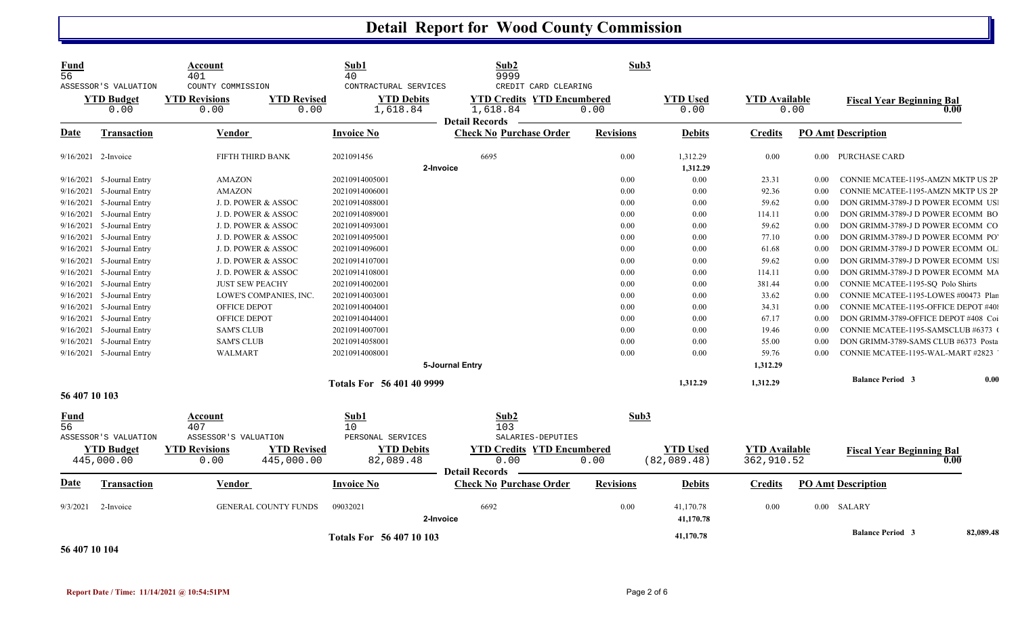| Fund<br>$\overline{56}$ |                                                   | Account<br>401                                    |                                  | Sub1<br>40                                             | Sub2<br>9999                                                                                   | Sub3             |                                |                                    |      |                                              |           |
|-------------------------|---------------------------------------------------|---------------------------------------------------|----------------------------------|--------------------------------------------------------|------------------------------------------------------------------------------------------------|------------------|--------------------------------|------------------------------------|------|----------------------------------------------|-----------|
|                         | ASSESSOR'S VALUATION<br><b>YTD Budget</b><br>0.00 | COUNTY COMMISSION<br><b>YTD Revisions</b><br>0.00 | <b>YTD Revised</b><br>0.00       | CONTRACTURAL SERVICES<br><b>YTD Debits</b><br>1,618.84 | CREDIT CARD CLEARING<br><b>YTD Credits YTD Encumbered</b><br>1,618.84<br><b>Detail Records</b> | 0.00             | <b>YTD Used</b><br>0.00        | <b>YTD</b> Available               | 0.00 | <b>Fiscal Year Beginning Bal</b><br>0.00     |           |
| Date                    | <b>Transaction</b>                                | Vendor                                            |                                  | <b>Invoice No</b>                                      | <b>Check No Purchase Order</b>                                                                 | <b>Revisions</b> | <b>Debits</b>                  | <b>Credits</b>                     |      | <b>PO Amt Description</b>                    |           |
|                         | 9/16/2021 2-Invoice                               | FIFTH THIRD BANK                                  |                                  | 2021091456                                             | 6695                                                                                           | 0.00             | 1,312.29                       | 0.00                               |      | 0.00 PURCHASE CARD                           |           |
|                         |                                                   |                                                   |                                  |                                                        | 2-Invoice                                                                                      |                  | 1,312.29                       |                                    |      |                                              |           |
| 9/16/2021               | 5-Journal Entry                                   | <b>AMAZON</b>                                     |                                  | 20210914005001                                         |                                                                                                | 0.00             | 0.00                           | 23.31                              | 0.00 | CONNIE MCATEE-1195-AMZN MKTP US 2P           |           |
| 9/16/2021               | 5-Journal Entry                                   | <b>AMAZON</b>                                     |                                  | 20210914006001                                         |                                                                                                | 0.00             | $0.00\,$                       | 92.36                              | 0.00 | CONNIE MCATEE-1195-AMZN MKTP US 2P           |           |
| 9/16/2021               | 5-Journal Entry                                   | J. D. POWER & ASSOC                               |                                  | 20210914088001                                         |                                                                                                | 0.00             | 0.00                           | 59.62                              | 0.00 | DON GRIMM-3789-J D POWER ECOMM US            |           |
| 9/16/2021               | 5-Journal Entry                                   | J. D. POWER & ASSOC                               |                                  | 20210914089001                                         |                                                                                                | 0.00             | 0.00                           | 114.11                             | 0.00 | DON GRIMM-3789-J D POWER ECOMM BO            |           |
| 9/16/2021               | 5-Journal Entry                                   | J. D. POWER & ASSOC                               |                                  | 20210914093001                                         |                                                                                                | 0.00             | 0.00                           | 59.62                              | 0.00 | DON GRIMM-3789-J D POWER ECOMM CO            |           |
| 9/16/2021               | 5-Journal Entry                                   | J. D. POWER & ASSOC                               |                                  | 20210914095001                                         |                                                                                                | 0.00             | 0.00                           | 77.10                              | 0.00 | DON GRIMM-3789-J D POWER ECOMM PO            |           |
| 9/16/2021               | 5-Journal Entry                                   | J. D. POWER & ASSOC                               |                                  | 20210914096001                                         |                                                                                                | 0.00             | 0.00                           | 61.68                              | 0.00 | DON GRIMM-3789-J D POWER ECOMM OL            |           |
| 9/16/2021               | 5-Journal Entry                                   | J. D. POWER & ASSOC                               |                                  | 20210914107001                                         |                                                                                                | 0.00             | 0.00                           | 59.62                              | 0.00 | DON GRIMM-3789-J D POWER ECOMM US            |           |
| 9/16/2021               | 5-Journal Entry                                   | J. D. POWER & ASSOC                               |                                  | 20210914108001                                         |                                                                                                | 0.00             | 0.00                           | 114.11                             | 0.00 | DON GRIMM-3789-J D POWER ECOMM MA            |           |
| 9/16/2021               | 5-Journal Entry                                   | <b>JUST SEW PEACHY</b>                            |                                  | 20210914002001                                         |                                                                                                | 0.00             | 0.00                           | 381.44                             | 0.00 | CONNIE MCATEE-1195-SQ Polo Shirts            |           |
| 9/16/2021               | 5-Journal Entry                                   | LOWE'S COMPANIES, INC.                            |                                  | 20210914003001                                         |                                                                                                | 0.00             | 0.00                           | 33.62                              | 0.00 | CONNIE MCATEE-1195-LOWES #00473 Plar         |           |
| 9/16/2021               | 5-Journal Entry                                   | OFFICE DEPOT                                      |                                  | 20210914004001                                         |                                                                                                | 0.00             | 0.00                           | 34.31                              | 0.00 | CONNIE MCATEE-1195-OFFICE DEPOT #40%         |           |
|                         | 9/16/2021 5-Journal Entry                         | OFFICE DEPOT                                      |                                  | 20210914044001                                         |                                                                                                | 0.00             | 0.00                           | 67.17                              | 0.00 | DON GRIMM-3789-OFFICE DEPOT #408 Coi         |           |
| 9/16/2021               | 5-Journal Entry                                   | <b>SAM'S CLUB</b>                                 |                                  | 20210914007001                                         |                                                                                                | 0.00             | 0.00                           | 19.46                              | 0.00 | CONNIE MCATEE-1195-SAMSCLUB #6373            |           |
|                         | 9/16/2021 5-Journal Entry                         | <b>SAM'S CLUB</b>                                 |                                  | 20210914058001                                         |                                                                                                | 0.00             | 0.00                           | 55.00                              | 0.00 | DON GRIMM-3789-SAMS CLUB #6373 Posta         |           |
|                         | $9/16/2021$ 5-Journal Entry                       | WALMART                                           |                                  | 20210914008001                                         |                                                                                                | 0.00             | 0.00                           | 59.76                              | 0.00 | CONNIE MCATEE-1195-WAL-MART #2823            |           |
|                         |                                                   |                                                   |                                  |                                                        | 5-Journal Entry                                                                                |                  |                                | 1,312.29                           |      |                                              |           |
|                         |                                                   |                                                   |                                  | <b>Totals For 56 401 40 9999</b>                       |                                                                                                |                  | 1,312.29                       | 1,312.29                           |      | <b>Balance Period 3</b>                      | 0.00      |
| 56 407 10 103           |                                                   |                                                   |                                  |                                                        |                                                                                                |                  |                                |                                    |      |                                              |           |
| Fund<br>$\overline{56}$ |                                                   | Account                                           |                                  | Sub1                                                   | Sub2                                                                                           | Sub3             |                                |                                    |      |                                              |           |
|                         | ASSESSOR'S VALUATION                              | 407<br>ASSESSOR'S VALUATION                       |                                  | 10<br>PERSONAL SERVICES                                | 103<br>SALARIES-DEPUTIES                                                                       |                  |                                |                                    |      |                                              |           |
|                         |                                                   | <b>YTD Revisions</b>                              |                                  |                                                        |                                                                                                |                  |                                |                                    |      |                                              |           |
|                         | <b>YTD Budget</b><br>445,000.00                   | 0.00                                              | <b>YTD Revised</b><br>445,000.00 | <b>YTD Debits</b><br>82,089.48                         | <b>YTD Credits YTD Encumbered</b><br>0.00                                                      | 0.00             | <b>YTD</b> Used<br>(82,089.48) | <b>YTD Available</b><br>362,910.52 |      | <b>Fiscal Year Beginning Bal</b><br>$0.00\,$ |           |
| <u>Date</u>             | Transaction                                       | Vendor                                            |                                  | <b>Invoice No</b>                                      | <b>Detail Records</b><br><b>Check No Purchase Order</b>                                        | <b>Revisions</b> | <b>Debits</b>                  | <b>Credits</b>                     |      | <b>PO Amt Description</b>                    |           |
| 9/3/2021                | 2-Invoice                                         |                                                   | <b>GENERAL COUNTY FUNDS</b>      | 09032021                                               | 6692                                                                                           | 0.00             | 41,170.78                      | 0.00                               |      | 0.00 SALARY                                  |           |
|                         |                                                   |                                                   |                                  |                                                        | 2-Invoice                                                                                      |                  | 41,170.78                      |                                    |      |                                              |           |
| 56 407 10 104           |                                                   |                                                   |                                  | Totals For 56 407 10 103                               |                                                                                                |                  | 41,170.78                      |                                    |      | <b>Balance Period 3</b>                      | 82,089.48 |

**Report Date / Time: 11/14/2021 @ 10:54:51PM** Page 2 of 6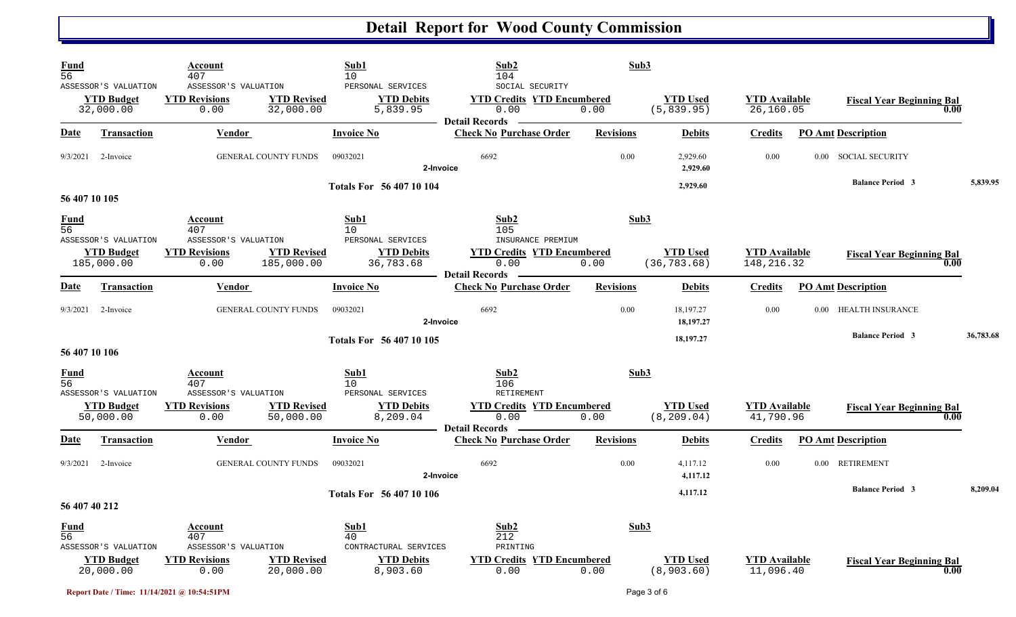| <b>Fund</b><br>$\overline{56}$ |                                                         | Account<br>407                                       |                                  | Sub1<br>10                                          | Sub2<br>104                                                        | Sub3             |                                 |                                    |                                          |           |
|--------------------------------|---------------------------------------------------------|------------------------------------------------------|----------------------------------|-----------------------------------------------------|--------------------------------------------------------------------|------------------|---------------------------------|------------------------------------|------------------------------------------|-----------|
|                                | ASSESSOR'S VALUATION<br><b>YTD Budget</b><br>32,000.00  | ASSESSOR'S VALUATION<br><b>YTD Revisions</b><br>0.00 | <b>YTD Revised</b><br>32,000.00  | PERSONAL SERVICES<br><b>YTD Debits</b><br>5,839.95  | SOCIAL SECURITY<br><b>YTD Credits YTD Encumbered</b><br>0.00       | 0.00             | <b>YTD Used</b><br>(5,839.95)   | <b>YTD Available</b><br>26,160.05  | <b>Fiscal Year Beginning Bal</b><br>0.00 |           |
| <u>Date</u>                    | <b>Transaction</b>                                      | <b>Vendor</b>                                        |                                  | <b>Invoice No</b>                                   | <b>Detail Records</b><br><b>Check No Purchase Order</b>            | <b>Revisions</b> | <b>Debits</b>                   | <b>Credits</b>                     | <b>PO Amt Description</b>                |           |
| 9/3/2021                       | 2-Invoice                                               |                                                      | <b>GENERAL COUNTY FUNDS</b>      | 09032021                                            | 6692<br>2-Invoice                                                  | 0.00             | 2,929.60<br>2,929.60            | 0.00                               | 0.00 SOCIAL SECURITY                     |           |
| 56 407 10 105                  |                                                         |                                                      |                                  | Totals For 56 407 10 104                            |                                                                    |                  | 2,929.60                        |                                    | <b>Balance Period 3</b>                  | 5,839.95  |
| <b>Fund</b><br>56              |                                                         | Account<br>407                                       |                                  | Sub1<br>10 <sup>°</sup>                             | Sub2<br>105                                                        |                  | Sub3                            |                                    |                                          |           |
|                                | ASSESSOR'S VALUATION<br><b>YTD Budget</b><br>185,000.00 | ASSESSOR'S VALUATION<br><b>YTD Revisions</b><br>0.00 | <b>YTD Revised</b><br>185,000.00 | PERSONAL SERVICES<br><b>YTD Debits</b><br>36,783.68 | INSURANCE PREMIUM<br><b>YTD Credits YTD Encumbered</b><br>0.00     | 0.00             | <b>YTD Used</b><br>(36, 783.68) | <b>YTD</b> Available<br>148,216.32 | <b>Fiscal Year Beginning Bal</b><br>0.00 |           |
| Date                           | <b>Transaction</b>                                      | Vendor                                               |                                  | <b>Invoice No</b>                                   | <b>Detail Records</b><br><b>Check No Purchase Order</b>            | <b>Revisions</b> | <b>Debits</b>                   | <b>Credits</b>                     | <b>PO Amt Description</b>                |           |
| 9/3/2021                       | 2-Invoice                                               |                                                      | GENERAL COUNTY FUNDS             | 09032021                                            | 6692<br>2-Invoice                                                  | 0.00             | 18,197.27<br>18,197.27          | 0.00                               | 0.00 HEALTH INSURANCE                    |           |
| 56 407 10 106                  |                                                         |                                                      |                                  | Totals For 56 407 10 105                            |                                                                    |                  | 18,197.27                       |                                    | <b>Balance Period 3</b>                  | 36,783.68 |
| <b>Fund</b><br>$\overline{56}$ | ASSESSOR'S VALUATION                                    | Account<br>407<br>ASSESSOR'S VALUATION               |                                  | Sub1<br>10<br>PERSONAL SERVICES                     | Sub2<br>106<br>RETIREMENT                                          | Sub3             |                                 |                                    |                                          |           |
|                                | <b>YTD Budget</b><br>50,000.00                          | <b>YTD Revisions</b><br>0.00                         | <b>YTD Revised</b><br>50,000.00  | <b>YTD Debits</b><br>8,209.04                       | <b>YTD Credits YTD Encumbered</b><br>0.00<br><b>Detail Records</b> | 0.00             | <b>YTD</b> Used<br>(8, 209.04)  | <b>YTD</b> Available<br>41,790.96  | <b>Fiscal Year Beginning Bal</b><br>0.00 |           |
| Date                           | Transaction                                             | Vendor                                               |                                  | <b>Invoice No</b>                                   | <b>Check No Purchase Order</b>                                     | <b>Revisions</b> | <b>Debits</b>                   | <b>Credits</b>                     | <b>PO Amt Description</b>                |           |
| 9/3/2021                       | 2-Invoice                                               |                                                      | <b>GENERAL COUNTY FUNDS</b>      | 09032021                                            | 6692<br>2-Invoice                                                  | 0.00             | 4,117.12<br>4,117.12            | 0.00                               | 0.00 RETIREMENT                          |           |
| 56 407 40 212                  |                                                         |                                                      |                                  | Totals For 56 407 10 106                            |                                                                    |                  | 4,117.12                        |                                    | <b>Balance Period 3</b>                  | 8,209.04  |
| <b>Fund</b><br>$\overline{56}$ | ASSESSOR'S VALUATION                                    | Account<br>407<br>ASSESSOR'S VALUATION               |                                  | Sub1<br>40<br>CONTRACTURAL SERVICES                 | Sub2<br>212<br>PRINTING                                            | Sub3             |                                 |                                    |                                          |           |
|                                | <b>YTD Budget</b><br>20,000.00                          | <b>YTD Revisions</b><br>0.00                         | <b>YTD Revised</b><br>20,000.00  | <b>YTD Debits</b><br>8,903.60                       | <b>YTD Credits YTD Encumbered</b><br>0.00                          | 0.00             | <b>YTD</b> Used<br>(8, 903.60)  | <b>YTD</b> Available<br>11,096.40  | <b>Fiscal Year Beginning Bal</b><br>0.00 |           |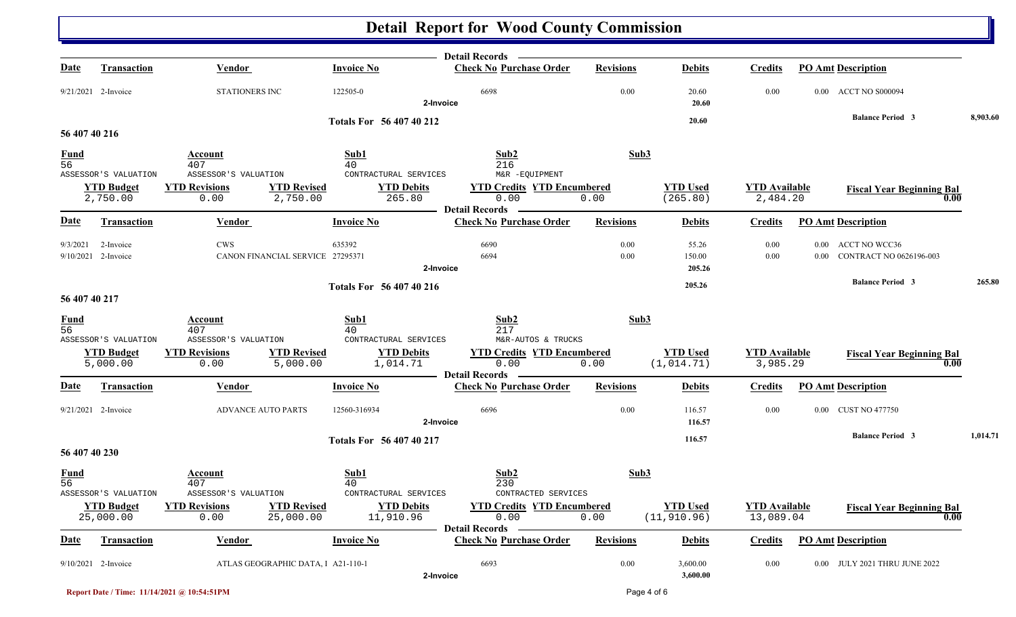|                   |                                                        |                                                                                         |                                                         | Detail Records —                                                                     |                  |                                 |                                   |                      |                                                 |          |
|-------------------|--------------------------------------------------------|-----------------------------------------------------------------------------------------|---------------------------------------------------------|--------------------------------------------------------------------------------------|------------------|---------------------------------|-----------------------------------|----------------------|-------------------------------------------------|----------|
| <u>Date</u>       | <b>Transaction</b>                                     | <b>Vendor</b>                                                                           | <b>Invoice No</b>                                       | <b>Check No Purchase Order</b>                                                       | <b>Revisions</b> | <b>Debits</b>                   | <b>Credits</b>                    |                      | <b>PO Amt Description</b>                       |          |
|                   | 9/21/2021 2-Invoice                                    | <b>STATIONERS INC</b>                                                                   | 122505-0                                                | 6698<br>2-Invoice                                                                    | 0.00             | 20.60<br>20.60                  | 0.00                              |                      | 0.00 ACCT NO S000094                            |          |
|                   |                                                        |                                                                                         | <b>Totals For 56 407 40 212</b>                         |                                                                                      |                  | 20.60                           |                                   |                      | <b>Balance Period 3</b>                         | 8,903.60 |
| 56 407 40 216     |                                                        |                                                                                         |                                                         |                                                                                      |                  |                                 |                                   |                      |                                                 |          |
| $\frac{Fund}{56}$ | ASSESSOR'S VALUATION                                   | Account<br>407<br>ASSESSOR'S VALUATION                                                  | Sub1<br>40<br>CONTRACTURAL SERVICES                     | Sub2<br>216<br>M&R -EQUIPMENT                                                        | Sub3             |                                 |                                   |                      |                                                 |          |
|                   | <b>YTD Budget</b><br>2,750.00                          | <b>YTD Revisions</b><br><b>YTD Revised</b><br>2,750.00<br>0.00                          | <b>YTD Debits</b><br>265.80                             | <b>YTD Credits YTD Encumbered</b><br>0.00<br><b>Detail Records</b>                   | 0.00             | <b>YTD Used</b><br>(265.80)     | <b>YTD</b> Available<br>2,484.20  |                      | <b>Fiscal Year Beginning Bal</b><br>0.00        |          |
| <u>Date</u>       | <b>Transaction</b>                                     | <b>Vendor</b>                                                                           | <b>Invoice No</b>                                       | <b>Check No Purchase Order</b>                                                       | <b>Revisions</b> | <b>Debits</b>                   | <b>Credits</b>                    |                      | <b>PO Amt Description</b>                       |          |
| 9/3/2021          | 2-Invoice<br>9/10/2021 2-Invoice                       | <b>CWS</b><br>CANON FINANCIAL SERVICE 27295371                                          | 635392                                                  | 6690<br>6694<br>2-Invoice                                                            | 0.00<br>0.00     | 55.26<br>150.00<br>205.26       | 0.00<br>0.00                      | $0.00\,$<br>$0.00\,$ | <b>ACCT NO WCC36</b><br>CONTRACT NO 0626196-003 |          |
|                   |                                                        |                                                                                         |                                                         |                                                                                      |                  |                                 |                                   |                      | <b>Balance Period 3</b>                         | 265.80   |
| 56 407 40 217     |                                                        |                                                                                         | Totals For 56 407 40 216                                |                                                                                      |                  | 205.26                          |                                   |                      |                                                 |          |
| $\frac{Fund}{56}$ | ASSESSOR'S VALUATION                                   | Account<br>407<br>ASSESSOR'S VALUATION                                                  | Sub1<br>40<br>CONTRACTURAL SERVICES                     | Sub2<br>217<br>M&R-AUTOS & TRUCKS                                                    | Sub3             |                                 |                                   |                      |                                                 |          |
|                   | <b>YTD Budget</b><br>5,000.00                          | <b>YTD Revisions</b><br><b>YTD Revised</b><br>5,000.00<br>0.00                          | <b>YTD Debits</b><br>1,014.71                           | <b>YTD Credits YTD Encumbered</b><br>0.00<br><b>Detail Records</b>                   | 0.00             | <b>YTD</b> Used<br>(1, 014.71)  | <b>YTD Available</b><br>3,985.29  |                      | <b>Fiscal Year Beginning Bal</b><br>0.00        |          |
| <b>Date</b>       | <b>Transaction</b>                                     | <b>Vendor</b>                                                                           | <b>Invoice No</b>                                       | <b>Check No Purchase Order</b>                                                       | <b>Revisions</b> | <b>Debits</b>                   | <b>Credits</b>                    |                      | <b>PO Amt Description</b>                       |          |
|                   | 9/21/2021 2-Invoice                                    | ADVANCE AUTO PARTS                                                                      | 12560-316934                                            | 6696<br>2-Invoice                                                                    | 0.00             | 116.57<br>116.57                | 0.00                              | $0.00\,$             | <b>CUST NO 477750</b>                           |          |
| 56 407 40 230     |                                                        |                                                                                         | Totals For 56 407 40 217                                |                                                                                      |                  | 116.57                          |                                   |                      | <b>Balance Period 3</b>                         | 1,014.71 |
| $\frac{Fund}{56}$ |                                                        | Account<br>407                                                                          | Sub1<br>40                                              | Sub2<br>230                                                                          | Sub3             |                                 |                                   |                      |                                                 |          |
|                   | ASSESSOR'S VALUATION<br><b>YTD Budget</b><br>25,000.00 | ASSESSOR'S VALUATION<br><b>YTD Revised</b><br><b>YTD Revisions</b><br>0.00<br>25,000.00 | CONTRACTURAL SERVICES<br><b>YTD Debits</b><br>11,910.96 | CONTRACTED SERVICES<br><b>YTD Credits YTD Encumbered</b><br>0.00<br>Detail Records — | 0.00             | <b>YTD Used</b><br>(11, 910.96) | <b>YTD Available</b><br>13,089.04 |                      | <b>Fiscal Year Beginning Bal</b><br>0.00        |          |
| <b>Date</b>       | <b>Transaction</b>                                     | <b>Vendor</b>                                                                           | <b>Invoice No</b>                                       | <b>Check No Purchase Order</b>                                                       | <b>Revisions</b> | <b>Debits</b>                   | <b>Credits</b>                    |                      | <b>PO Amt Description</b>                       |          |
|                   | 9/10/2021 2-Invoice                                    | ATLAS GEOGRAPHIC DATA, 1 A21-110-1                                                      |                                                         | 6693<br>2-Invoice                                                                    | 0.00             | 3,600.00<br>3,600.00            | $0.00\,$                          |                      | 0.00 JULY 2021 THRU JUNE 2022                   |          |

**Report Date / Time: 11/14/2021 @ 10:54:51PM** Page 4 of 6